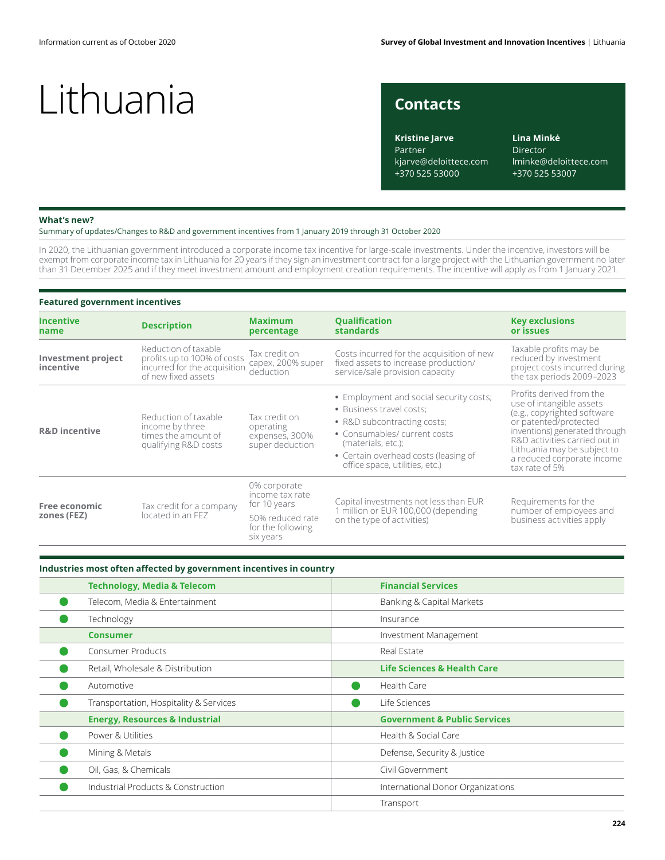### **Contacts**

**Kristine Jarve** Partner kjarve@deloittece.com +370 525 53000

**Lina Minkė** Director lminke@deloittece.com +370 525 53007

#### **What's new?**

Summary of updates/Changes to R&D and government incentives from 1 January 2019 through 31 October 2020

In 2020, the Lithuanian government introduced a corporate income tax incentive for large-scale investments. Under the incentive, investors will be exempt from corporate income tax in Lithuania for 20 years if they sign an investment contract for a large project with the Lithuanian government no later than 31 December 2025 and if they meet investment amount and employment creation requirements. The incentive will apply as from 1 January 2021.

#### **Featured government incentives**

| <b>Incentive</b><br>name               | <b>Description</b>                                                                                         | <b>Maximum</b><br>percentage                                                                          | <b>Qualification</b><br><b>standards</b>                                                                                                                                                                                           | <b>Key exclusions</b><br>or issues                                                                                                                                                                                                                            |
|----------------------------------------|------------------------------------------------------------------------------------------------------------|-------------------------------------------------------------------------------------------------------|------------------------------------------------------------------------------------------------------------------------------------------------------------------------------------------------------------------------------------|---------------------------------------------------------------------------------------------------------------------------------------------------------------------------------------------------------------------------------------------------------------|
| <b>Investment project</b><br>incentive | Reduction of taxable<br>profits up to 100% of costs<br>incurred for the acquisition<br>of new fixed assets | Tax credit on<br>capex, 200% super<br>deduction                                                       | Costs incurred for the acquisition of new<br>fixed assets to increase production/<br>service/sale provision capacity                                                                                                               | Taxable profits may be<br>reduced by investment<br>project costs incurred during<br>the tax periods 2009-2023                                                                                                                                                 |
| <b>R&amp;D</b> incentive               | Reduction of taxable<br>income by three<br>times the amount of<br>qualifying R&D costs                     | Tax credit on<br>operating<br>expenses, 300%<br>super deduction                                       | • Employment and social security costs;<br>• Business travel costs:<br>• R&D subcontracting costs;<br>• Consumables/ current costs<br>(materials, etc.);<br>• Certain overhead costs (leasing of<br>office space, utilities, etc.) | Profits derived from the<br>use of intangible assets<br>(e.g., copyrighted software<br>or patented/protected<br>inventions) generated through<br>R&D activities carried out in<br>Lithuania may be subject to<br>a reduced corporate income<br>tax rate of 5% |
| Free economic<br>zones (FEZ)           | Tax credit for a company<br>located in an FEZ                                                              | 0% corporate<br>income tax rate<br>for 10 years<br>50% reduced rate<br>for the following<br>six years | Capital investments not less than EUR<br>1 million or EUR 100,000 (depending<br>on the type of activities)                                                                                                                         | Requirements for the<br>number of employees and<br>business activities apply                                                                                                                                                                                  |

#### **Industries most often affected by government incentives in country**

| <b>Technology, Media &amp; Telecom</b>    | <b>Financial Services</b>               |  |  |
|-------------------------------------------|-----------------------------------------|--|--|
| Telecom, Media & Entertainment            | Banking & Capital Markets               |  |  |
| Technology                                | Insurance                               |  |  |
| <b>Consumer</b>                           | Investment Management                   |  |  |
| Consumer Products                         | Real Estate                             |  |  |
| Retail, Wholesale & Distribution          | <b>Life Sciences &amp; Health Care</b>  |  |  |
| Automotive                                | Health Care                             |  |  |
| Transportation, Hospitality & Services    | Life Sciences                           |  |  |
| <b>Energy, Resources &amp; Industrial</b> | <b>Government &amp; Public Services</b> |  |  |
| Power & Utilities                         | Health & Social Care                    |  |  |
| Mining & Metals                           | Defense, Security & Justice             |  |  |
| Oil, Gas, & Chemicals                     | Civil Government                        |  |  |
| Industrial Products & Construction        | International Donor Organizations       |  |  |
|                                           | Transport                               |  |  |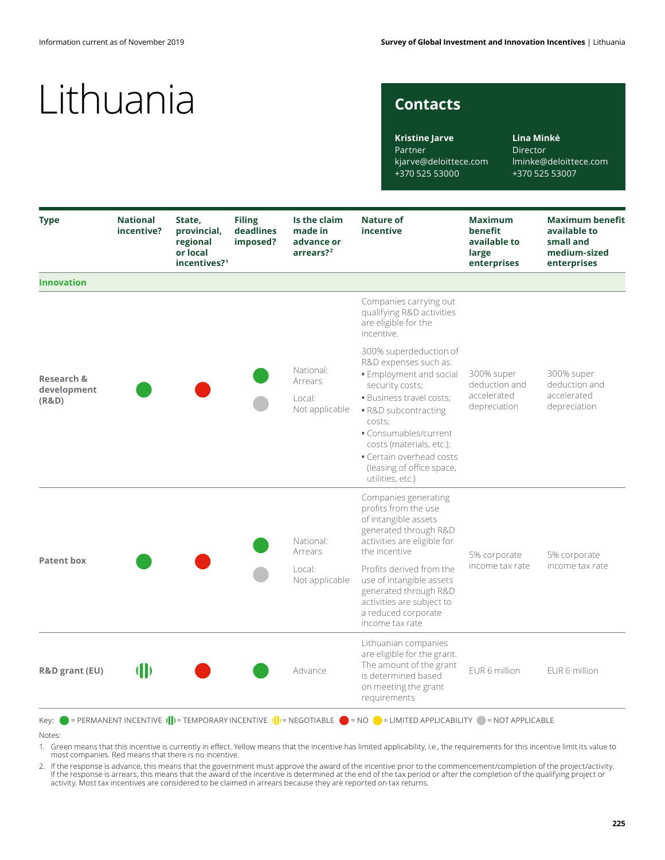### **Contacts**

**Lina Minkė** Director lminke@deloittece.com +370 525 53007

| <b>Type</b>                        | <b>National</b><br>incentive? | State,<br>provincial,<br>regional<br>or local<br>incentives? <sup>1</sup> | <b>Filing</b><br>deadlines<br>imposed? | Is the claim<br>made in<br>advance or<br>arrears? <sup>2</sup> | <b>Nature of</b><br>incentive                                                                                                                                                                                                                                                                 | <b>Maximum</b><br>benefit<br>available to<br>large<br>enterprises | <b>Maximum benefit</b><br>available to<br>small and<br>medium-sized<br>enterprises |
|------------------------------------|-------------------------------|---------------------------------------------------------------------------|----------------------------------------|----------------------------------------------------------------|-----------------------------------------------------------------------------------------------------------------------------------------------------------------------------------------------------------------------------------------------------------------------------------------------|-------------------------------------------------------------------|------------------------------------------------------------------------------------|
| <b>Innovation</b>                  |                               |                                                                           |                                        |                                                                |                                                                                                                                                                                                                                                                                               |                                                                   |                                                                                    |
| Research &<br>development<br>(R&D) |                               |                                                                           |                                        | National:<br>Arrears<br>Local:<br>Not applicable               | Companies carrying out<br>qualifying R&D activities<br>are eligible for the<br>incentive.                                                                                                                                                                                                     | 300% super<br>deduction and<br>accelerated<br>depreciation        | 300% super<br>deduction and<br>accelerated<br>depreciation                         |
|                                    |                               |                                                                           |                                        |                                                                | 300% superdeduction of<br>R&D expenses such as:<br>· Employment and social<br>security costs;<br>· Business travel costs;<br>• R&D subcontracting<br>costs;<br>• Consumables/current<br>costs (materials, etc.);<br>• Certain overhead costs<br>(leasing of office space,<br>utilities, etc.) |                                                                   |                                                                                    |
| <b>Patent box</b>                  |                               |                                                                           |                                        | National:<br>Arrears                                           | Companies generating<br>profits from the use<br>of intangible assets<br>generated through R&D<br>activities are eligible for<br>the incentive                                                                                                                                                 | 5% corporate<br>income tax rate                                   | 5% corporate<br>income tax rate                                                    |
|                                    |                               |                                                                           |                                        | Local:<br>Not applicable                                       | Profits derived from the<br>use of intangible assets<br>generated through R&D<br>activities are subject to<br>a reduced corporate<br>income tax rate                                                                                                                                          |                                                                   |                                                                                    |
| R&D grant (EU)                     | $\mathbf \Phi$                |                                                                           |                                        | Advance                                                        | Lithuanian companies<br>are eligible for the grant.<br>The amount of the grant<br>is determined based<br>on meeting the grant<br>requirements                                                                                                                                                 | EUR 6 million                                                     | EUR 6 million                                                                      |

Notes:

1. Green means that this incentive is currently in effect. Yellow means that the incentive has limited applicability, i.e., the requirements for this incentive limit its value to<br>most companies. Red means that there is no

2. If the response is advance, this means that the government must approve the award of the incentive prior to the commencement/completion of the project/activity. If the response is arrears, this means that the award of the incentive is determined at the end of the tax period or after the completion of the qualifying project or<br>activity. Most tax incentives are considered to be clai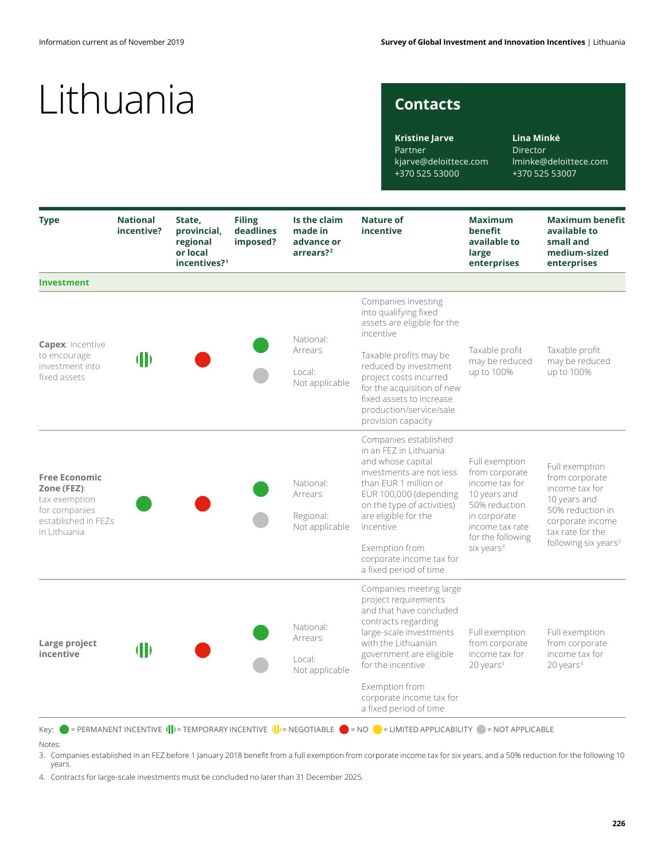### **Contacts**

**Kristine Jarve** Partner kjarve@deloittece.com +370 525 53000

**Lina Minkė** Director lminke@deloittece.com +370 525 53007

| <b>Type</b>                                                                                                  | <b>National</b><br>incentive? | State,<br>provincial,<br>regional<br>or local<br>incentives? <sup>1</sup> | <b>Filing</b><br>deadlines<br>imposed? | Is the claim<br>made in<br>advance or<br>arrears? <sup>2</sup> | <b>Nature of</b><br>incentive                                                                                                                                                                                          | <b>Maximum</b><br>benefit<br>available to<br>large<br>enterprises                                                                                                     | <b>Maximum benefit</b><br>available to<br>small and<br>medium-sized<br>enterprises                                                                                 |
|--------------------------------------------------------------------------------------------------------------|-------------------------------|---------------------------------------------------------------------------|----------------------------------------|----------------------------------------------------------------|------------------------------------------------------------------------------------------------------------------------------------------------------------------------------------------------------------------------|-----------------------------------------------------------------------------------------------------------------------------------------------------------------------|--------------------------------------------------------------------------------------------------------------------------------------------------------------------|
| <b>Investment</b>                                                                                            |                               |                                                                           |                                        |                                                                |                                                                                                                                                                                                                        |                                                                                                                                                                       |                                                                                                                                                                    |
|                                                                                                              |                               |                                                                           |                                        | National:                                                      | Companies investing<br>into qualifying fixed<br>assets are eligible for the<br>incentive                                                                                                                               |                                                                                                                                                                       |                                                                                                                                                                    |
| <b>Capex: Incentive</b><br>to encourage<br>investment into<br>fixed assets                                   | $\blacksquare$                |                                                                           |                                        | Arrears<br>Local:<br>Not applicable                            | Taxable profits may be<br>reduced by investment<br>project costs incurred<br>for the acquisition of new<br>fixed assets to increase<br>production/service/sale<br>provision capacity                                   | Taxable profit<br>may be reduced<br>up to 100%                                                                                                                        | Taxable profit<br>may be reduced<br>up to 100%                                                                                                                     |
| <b>Free Economic</b><br>Zone (FEZ):<br>tax exemption<br>for companies<br>established in FEZs<br>in Lithuania |                               |                                                                           |                                        | National:<br>Arrears<br>Regional:<br>Not applicable            | Companies established<br>in an FEZ in Lithuania<br>and whose capital<br>investments are not less<br>than EUR 1 million or<br>EUR 100,000 (depending<br>on the type of activities)<br>are eligible for the<br>incentive | Full exemption<br>from corporate<br>income tax for<br>10 years and<br>50% reduction<br>in corporate<br>income tax rate<br>for the following<br>six years <sup>3</sup> | Full exemption<br>from corporate<br>income tax for<br>10 years and<br>50% reduction in<br>corporate income<br>tax rate for the<br>following six years <sup>3</sup> |
|                                                                                                              |                               |                                                                           |                                        |                                                                | Exemption from<br>corporate income tax for<br>a fixed period of time                                                                                                                                                   |                                                                                                                                                                       |                                                                                                                                                                    |
| Large project<br>incentive                                                                                   | $\mathbf{I}$                  |                                                                           |                                        | National:<br>Arrears<br>Local:<br>Not applicable               | Companies meeting large<br>project requirements<br>and that have concluded<br>contracts regarding<br>large-scale investments<br>with the Lithuanian<br>government are eligible<br>for the incentive                    | Full exemption<br>from corporate<br>income tax for<br>$20$ years <sup>4</sup>                                                                                         | Full exemption<br>from corporate<br>income tax for<br>$20$ years <sup>4</sup>                                                                                      |
|                                                                                                              |                               |                                                                           |                                        |                                                                | Exemption from<br>corporate income tax for<br>a fixed period of time                                                                                                                                                   |                                                                                                                                                                       |                                                                                                                                                                    |

Notes:

3. Companies established in an FEZ before 1 January 2018 benefit from a full exemption from corporate income tax for six years, and a 50% reduction for the following 10 years.

4. Contracts for large-scale investments must be concluded no later than 31 December 2025.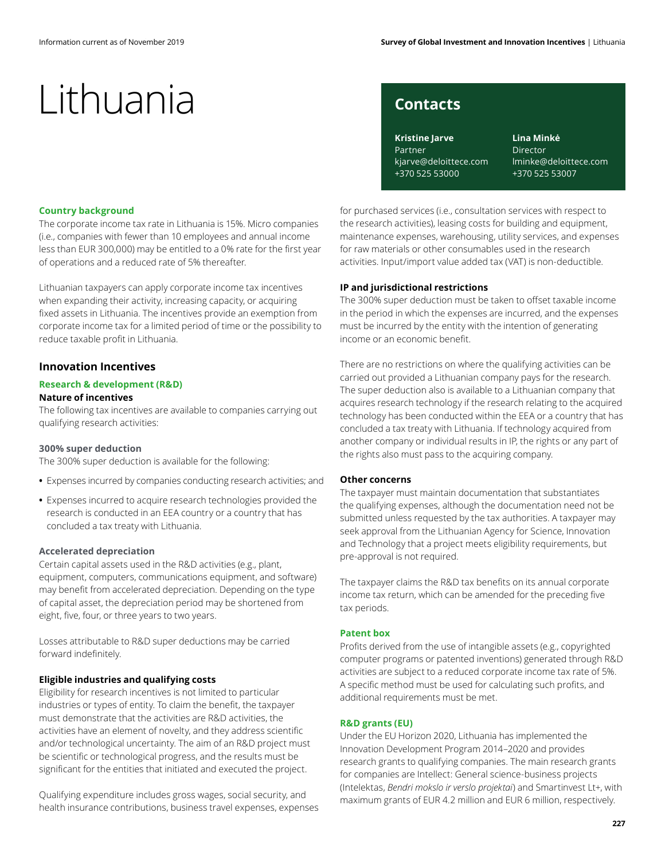### **Contacts**

**Kristine Jarve** Partner kjarve@deloittece.com +370 525 53000

**Lina Minkė** Director lminke@deloittece.com +370 525 53007

#### **Country background**

The corporate income tax rate in Lithuania is 15%. Micro companies (i.e., companies with fewer than 10 employees and annual income less than EUR 300,000) may be entitled to a 0% rate for the first year of operations and a reduced rate of 5% thereafter.

Lithuanian taxpayers can apply corporate income tax incentives when expanding their activity, increasing capacity, or acquiring fixed assets in Lithuania. The incentives provide an exemption from corporate income tax for a limited period of time or the possibility to reduce taxable profit in Lithuania.

#### **Innovation Incentives**

#### **Research & development (R&D) Nature of incentives**

The following tax incentives are available to companies carrying out qualifying research activities:

#### **300% super deduction**

The 300% super deduction is available for the following:

- **•** Expenses incurred by companies conducting research activities; and
- **•** Expenses incurred to acquire research technologies provided the research is conducted in an EEA country or a country that has concluded a tax treaty with Lithuania.

#### **Accelerated depreciation**

Certain capital assets used in the R&D activities (e.g., plant, equipment, computers, communications equipment, and software) may benefit from accelerated depreciation. Depending on the type of capital asset, the depreciation period may be shortened from eight, five, four, or three years to two years.

Losses attributable to R&D super deductions may be carried forward indefinitely.

#### **Eligible industries and qualifying costs**

Eligibility for research incentives is not limited to particular industries or types of entity. To claim the benefit, the taxpayer must demonstrate that the activities are R&D activities, the activities have an element of novelty, and they address scientific and/or technological uncertainty. The aim of an R&D project must be scientific or technological progress, and the results must be significant for the entities that initiated and executed the project.

Qualifying expenditure includes gross wages, social security, and health insurance contributions, business travel expenses, expenses for purchased services (i.e., consultation services with respect to the research activities), leasing costs for building and equipment, maintenance expenses, warehousing, utility services, and expenses for raw materials or other consumables used in the research activities. Input/import value added tax (VAT) is non-deductible.

#### **IP and jurisdictional restrictions**

The 300% super deduction must be taken to offset taxable income in the period in which the expenses are incurred, and the expenses must be incurred by the entity with the intention of generating income or an economic benefit.

There are no restrictions on where the qualifying activities can be carried out provided a Lithuanian company pays for the research. The super deduction also is available to a Lithuanian company that acquires research technology if the research relating to the acquired technology has been conducted within the EEA or a country that has concluded a tax treaty with Lithuania. If technology acquired from another company or individual results in IP, the rights or any part of the rights also must pass to the acquiring company.

#### **Other concerns**

The taxpayer must maintain documentation that substantiates the qualifying expenses, although the documentation need not be submitted unless requested by the tax authorities. A taxpayer may seek approval from the Lithuanian Agency for Science, Innovation and Technology that a project meets eligibility requirements, but pre-approval is not required.

The taxpayer claims the R&D tax benefits on its annual corporate income tax return, which can be amended for the preceding five tax periods.

#### **Patent box**

Profits derived from the use of intangible assets (e.g., copyrighted computer programs or patented inventions) generated through R&D activities are subject to a reduced corporate income tax rate of 5%. A specific method must be used for calculating such profits, and additional requirements must be met.

#### **R&D grants (EU)**

Under the EU Horizon 2020, Lithuania has implemented the Innovation Development Program 2014–2020 and provides research grants to qualifying companies. The main research grants for companies are Intellect: General science-business projects (Intelektas, *Bendri mokslo ir verslo projektai*) and Smartinvest Lt+, with maximum grants of EUR 4.2 million and EUR 6 million, respectively.